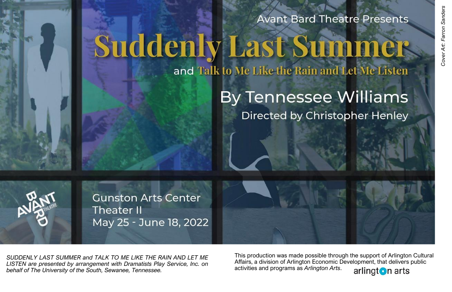## **Avant Bard Theatre Presents**

# **Suddenly Last Summer**

## and Talk to Me Like the Rain and Let Me Listen

## **By Tennessee Williams** Directed by Christopher Henley

**Gunston Arts Center Theater II** May 25 - June 18, 2022

*SUDDENLY LAST SUMMER and TALK TO ME LIKE THE RAIN AND LET ME LISTEN are presented by arrangement with Dramatists Play Service, Inc. on behalf of The University of the South, Sewanee, Tennessee.*

This production was made possible through the support of Arlington Cultural Affairs, a division of Arlington Economic Development, that delivers public activities and programs as *Arlington Arts*.

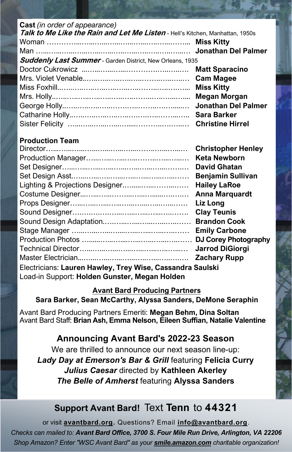#### **Cast** *(in order of appearance)* **Talk to Me Like the Rain and Let Me Listen** - Hell's Kitchen, Manhattan, 1950s Woman …………...…...…...…...…...…...…..…...……... **Miss Kitty** Man …...…...…...…...…...…...…..…...…..…..…..…...… **Jonathan Del Palmer Suddenly Last Summer** - Garden District, New Orleans, 1935 Doctor Cukrowicz ...…...…...…...………….…..…..…. **Matt Sparacino**  Mrs. Violet Venable..…..…..…..…..…..……..…..…..… **Cam Magee** Miss Foxhill..…..…..…..…..…..…..…..……..…..….…... **Miss Kitty** Mrs. Holly..…..…..…..…..…..…..…..……..…..…...….... **Megan Morgan** George Holly..…..…..…..…..…….…..……..….….....… **Jonathan Del Palmer** Catharine Holly..…..…..…..…..…..….….…..……...….. **Sara Barker** Sister Felicity …...…...…...…...….....………..….…..… **Christine Hirrel**

#### **Production Team**

|                                                           | <b>Christopher Henley</b>   |
|-----------------------------------------------------------|-----------------------------|
|                                                           | <b>Keta Newborn</b>         |
|                                                           | <b>David Ghatan</b>         |
|                                                           | <b>Benjamin Sullivan</b>    |
|                                                           | <b>Hailey LaRoe</b>         |
|                                                           | <b>Anna Marquardt</b>       |
|                                                           | Liz Long                    |
|                                                           | <b>Clay Teunis</b>          |
|                                                           | <b>Brandon Cook</b>         |
|                                                           | <b>Emily Carbone</b>        |
|                                                           | <b>DJ Corey Photography</b> |
|                                                           | <b>Jarrod DiGiorgi</b>      |
|                                                           | <b>Zachary Rupp</b>         |
| Electricians: Lauren Hawley, Trey Wise, Cassandra Saulski |                             |
| Load-in Support: Holden Gunster, Megan Holden             |                             |

#### **Avant Bard Producing Partners**

**Sara Barker, Sean McCarthy, Alyssa Sanders, DeMone Seraphin** 

Avant Bard Producing Partners Emeriti: **Megan Behm, Dina Soltan**  Avant Bard Staff: **Brian Ash, Emma Nelson, Eileen Suffian, Natalie Valentine**

#### **Announcing Avant Bard's 2022-23 Season**

We are thrilled to announce our next season line-up: *Lady Day at Emerson's Bar & Grill* featuring **Felicia Curry**  *Julius Caesar* directed by **Kathleen Akerley** *The Belle of Amherst* featuring **Alyssa Sanders**

#### **Support Avant Bard!** Text **Tenn** to **44321**

or visit **[avantbard.org.](https://avantbard.org/)** Questions? Email **[info@avantbard.org](mailto:info@avantbard.org?subject=Interested%20in%20making%20a%20donation!)**. *Checks can mailed to: Avant Bard Office, 3700 S. Four Mile Run Drive, Arlington, VA 22206 Shop Amazon? Enter "WSC Avant Bard" as your <smile.amazon.com> charitable organization!*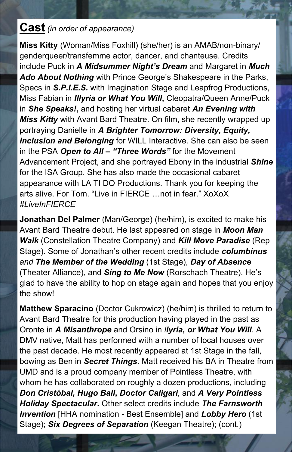#### **Cast** *(in order of appearance)*

**Miss Kitty** (Woman/Miss Foxhill) (she/her) is an AMAB/non-binary/ genderqueer/transfemme actor, dancer, and chanteuse. Credits include Puck in *A Midsummer Night's Dream* and Margaret in *Much Ado About Nothing* with Prince George's Shakespeare in the Parks, Specs in *S.P.I.E.S.* with Imagination Stage and Leapfrog Productions, Miss Fabian in *Illyria or What You Will***,** Cleopatra/Queen Anne/Puck in *She Speaks!***,** and hosting her virtual cabaret *An Evening with Miss Kitty* with Avant Bard Theatre. On film, she recently wrapped up portraying Danielle in *A Brighter Tomorrow: Diversity, Equity, Inclusion and Belonging* for WILL Interactive. She can also be seen in the PSA *Open to All – "Three Words"* for the Movement Advancement Project, and she portrayed Ebony in the industrial *Shine* for the ISA Group. She has also made the occasional cabaret appearance with LA TI DO Productions. Thank you for keeping the arts alive. For Tom. "Live in FIERCE …not in fear." XoXoX *#LiveInFIERCE*

**Jonathan Del Palmer** (Man/George) (he/him), is excited to make his Avant Bard Theatre debut. He last appeared on stage in *Moon Man Walk* (Constellation Theatre Company) and *Kill Move Paradise* (Rep Stage). Some of Jonathan's other recent credits include *columbinus and The Member of the Wedding* (1st Stage), *Day of Absence* (Theater Alliance), and *Sing to Me Now* (Rorschach Theatre). He's glad to have the ability to hop on stage again and hopes that you enjoy the show!

**Matthew Sparacino** (Doctor Cukrowicz) (he/him) is thrilled to return to Avant Bard Theatre for this production having played in the past as Oronte in *A Misanthrope* and Orsino in *llyria, or What You Will*. A DMV native, Matt has performed with a number of local houses over the past decade. He most recently appeared at 1st Stage in the fall, bowing as Ben in *Secret Things*. Matt received his BA in Theatre from UMD and is a proud company member of Pointless Theatre, with whom he has collaborated on roughly a dozen productions, including *Don Cristóbal, Hugo Ball***,** *Doctor Caligari*, and *A Very Pointless Holiday Spectacular***.** Other select credits include *The Farnsworth Invention* [HHA nomination - Best Ensemble] and *Lobby Hero* (1st Stage); **Six Degrees of Separation** (Keegan Theatre); (cont.)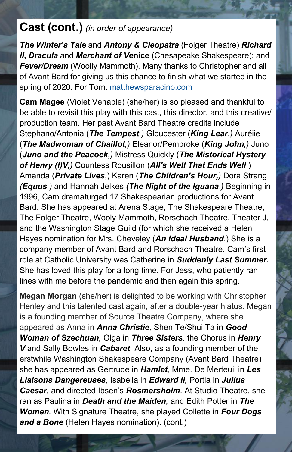#### **Cast (cont.)** *(in order of appearance)*

*The Winter's Tale* and *Antony & Cleopatra* (Folger Theatre) *Richard II*, *Dracula* and *Merchant of Venice* (Chesapeake Shakespeare); and *Fever/Dream* (Woolly Mammoth). Many thanks to Christopher and all of Avant Bard for giving us this chance to finish what we started in the spring of 2020. For Tom. [matthewsparacino.com](http://www.matthewsparacino.com)

**Cam Magee** (Violet Venable) (she/her) is so pleased and thankful to be able to revisit this play with this cast, this director, and this creative/ production team. Her past Avant Bard Theatre credits include Stephano/Antonia (*The Tempest,)* Gloucester (*King Lear,)* Auréiie (*The Madwoman of Chaillot,)* Eleanor/Pembroke (*King John,)* Juno (*Juno and the Peacock,)* Mistress Quickly (*The Mistorical Hystery of Henry (I)V,)* Countess Rousillon (*All's Well That Ends Well*,) Amanda (*Private Lives*,) Karen (*The Children's Hour,)* Dora Strang *(Equus,)* and Hannah Jelkes *(The Night of the Iguana*.*)* Beginning in 1996, Cam dramaturged 17 Shakespearian productions for Avant Bard. She has appeared at Arena Stage, The Shakespeare Theatre, The Folger Theatre, Wooly Mammoth, Rorschach Theatre, Theater J, and the Washington Stage Guild (for which she received a Helen Hayes nomination for Mrs. Cheveley (*An Ideal Husband*.) She is a company member of Avant Bard and Rorschach Theatre. Cam's first role at Catholic University was Catherine in *Suddenly Last Summer.*  She has loved this play for a long time. For Jess, who patiently ran lines with me before the pandemic and then again this spring.

**Megan Morgan** (she/her) is delighted to be working with Christopher Henley and this talented cast again, after a double-year hiatus. Megan is a founding member of Source Theatre Company, where she appeared as Anna in *Anna Christie,* Shen Te/Shui Ta in *Good Woman of Szechuan,* Olga in *Three Sisters,* the Chorus in *Henry V* and Sally Bowles in *Cabaret.* Also, as a founding member of the erstwhile Washington Shakespeare Company (Avant Bard Theatre) she has appeared as Gertrude in *Hamlet,* Mme. De Merteuil in *Les Liaisons Dangereuses,* Isabella in *Edward II,* Portia in *Julius Caesar,* and directed Ibsen's *Rosmersholm.* At Studio Theatre, she ran as Paulina in *Death and the Maiden,* and Edith Potter in *The Women.* With Signature Theatre, she played Collette in *Four Dogs and a Bone* (Helen Hayes nomination). (cont.)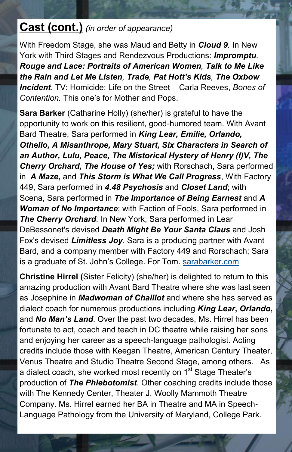### **Cast (cont.)** *(in order of appearance)*

With Freedom Stage, she was Maud and Betty in *Cloud 9.* In New York with Third Stages and Rendezvous Productions: *Impromptu, Rouge and Lace: Portraits of American Women, Talk to Me Like the Rain and Let Me Listen, Trade, Pat Hott's Kids, The Oxbow Incident.* TV: Homicide: Life on the Street – Carla Reeves, *Bones of Contention.* This one's for Mother and Pops.

**Sara Barker** (Catharine Holly) (she/her) is grateful to have the opportunity to work on this resilient, good-humored team. With Avant Bard Theatre, Sara performed in *King Lear, Emilie, Orlando, Othello, A Misanthrope, Mary Stuart, Six Characters in Search of an Author, Lulu, Peace, The Mistorical Hystery of Henry (I)V, The Cherry Orchard, The House of Yes;* with Rorschach, Sara performed in *A Maze***,** and *This Storm is What We Call Progress*, With Factory 449, Sara performed in *4.48 Psychosis* and *Closet Land*; with Scena, Sara performed in *The Importance of Being Earnest* and *A Woman of No Importance*; with Faction of Fools, Sara performed in *The Cherry Orchard.* In New York, Sara performed in Lear DeBessonet's devised *Death Might Be Your Santa Claus* and Josh Fox's devised *Limitless Joy.* Sara is a producing partner with Avant Bard, and a company member with Factory 449 and Rorschach; Sara is a graduate of St. John's College. For Tom. [sarabarker.com](http://www.sarabarker.com)

**Christine Hirrel (**Sister Felicity) (she/her) is delighted to return to this amazing production with Avant Bard Theatre where she was last seen as Josephine in *Madwoman of Chaillot* and where she has served as dialect coach for numerous productions including *King Lear***,** *Orlando***,** and *No Man's Land*. Over the past two decades, Ms. Hirrel has been fortunate to act, coach and teach in DC theatre while raising her sons and enjoying her career as a speech-language pathologist. Acting credits include those with Keegan Theatre, American Century Theater, Venus Theatre and Studio Theatre Second Stage, among others. As a dialect coach, she worked most recently on 1<sup>st</sup> Stage Theater's production of *The Phlebotomist*. Other coaching credits include those with The Kennedy Center, Theater J, Woolly Mammoth Theatre Company. Ms. Hirrel earned her BA in Theatre and MA in Speech-Language Pathology from the University of Maryland, College Park.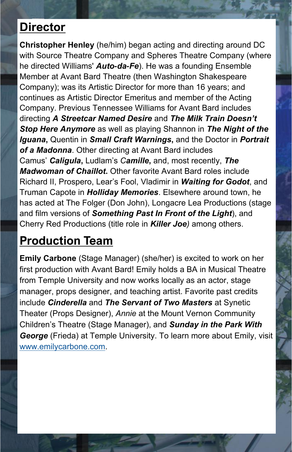## **Director**

**Christopher Henley** (he/him) began acting and directing around DC with Source Theatre Company and Spheres Theatre Company (where he directed Williams' *Auto-da-Fe*). He was a founding Ensemble Member at Avant Bard Theatre (then Washington Shakespeare Company); was its Artistic Director for more than 16 years; and continues as Artistic Director Emeritus and member of the Acting Company. Previous Tennessee Williams for Avant Bard includes directing *A Streetcar Named Desire* and *The Milk Train Doesn't Stop Here Anymore* as well as playing Shannon in *The Night of the Iguana***,** Quentin in *Small Craft Warnings***,** and the Doctor in *Portrait of a Madonna*. Other directing at Avant Bard includes Camus' *Caligula***,** Ludlam's *Camille***,** and, most recently, *The Madwoman of Chaillot***.** Other favorite Avant Bard roles include Richard II, Prospero, Lear's Fool, Vladimir in *Waiting for Godot*, and Truman Capote in *Holliday Memories*. Elsewhere around town, he has acted at The Folger (Don John), Longacre Lea Productions (stage and film versions of *Something Past In Front of the Light*), and Cherry Red Productions (title role in *Killer Joe)* among others.

## **Production Team**

**Emily Carbone** (Stage Manager) (she/her) is excited to work on her first production with Avant Bard! Emily holds a BA in Musical Theatre from Temple University and now works locally as an actor, stage manager, props designer, and teaching artist. Favorite past credits include *Cinderella* and *The Servant of Two Masters* at Synetic Theater (Props Designer), *Annie* at the Mount Vernon Community Children's Theatre (Stage Manager), and *Sunday in the Park With George* (Frieda) at Temple University. To learn more about Emily, visit [www.emilycarbone.com.](http://www.emilycarbone.com)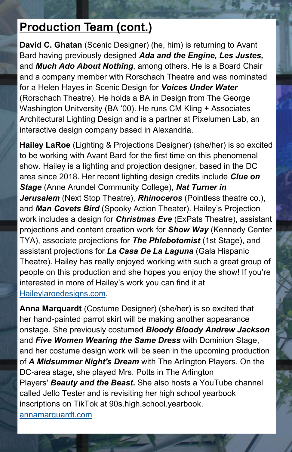## **Production Team (cont.)**

**David C. Ghatan** (Scenic Designer) (he, him) is returning to Avant Bard having previously designed *Ada and the Engine, Les Justes,*  and *Much Ado About Nothing*, among others. He is a Board Chair and a company member with Rorschach Theatre and was nominated for a Helen Hayes in Scenic Design for *Voices Under Water* (Rorschach Theatre). He holds a BA in Design from The George Washington Unitversity (BA '00). He runs CM Kling + Associates Architectural Lighting Design and is a partner at Pixelumen Lab, an interactive design company based in Alexandria.

**Hailey LaRoe** (Lighting & Projections Designer) (she/her) is so excited to be working with Avant Bard for the first time on this phenomenal show. Hailey is a lighting and projection designer, based in the DC area since 2018. Her recent lighting design credits include *Clue on Stage* (Anne Arundel Community College), *Nat Turner in Jerusalem* (Next Stop Theatre), *Rhinoceros* (Pointless theatre co.), and *Man Covets Bird* (Spooky Action Theater). Hailey's Projection work includes a design for *Christmas Eve* (ExPats Theatre), assistant projections and content creation work for *Show Way* (Kennedy Center TYA), associate projections for *The Phlebotomist* (1st Stage), and assistant projections for *La Casa De La Laguna* (Gala Hispanic Theatre). Hailey has really enjoyed working with such a great group of people on this production and she hopes you enjoy the show! If you're interested in more of Hailey's work you can find it at [Haileylaroedesigns.com.](Haileylaroedesigns.com)

**Anna Marquardt** (Costume Designer) (she/her) is so excited that her hand-painted parrot skirt will be making another appearance onstage. She previously costumed *Bloody Bloody Andrew Jackson*  and *Five Women Wearing the Same Dress* with Dominion Stage, and her costume design work will be seen in the upcoming production of *A Midsummer Night's Dream* with The Arlington Players. On the DC-area stage, she played Mrs. Potts in The Arlington Players' *Beauty and the Beast***.** She also hosts a YouTube channel called Jello Tester and is revisiting her high school yearbook inscriptions on TikTok at 90s.high.school.yearbook. [annamarquardt.com](http://annamarquardt.com/)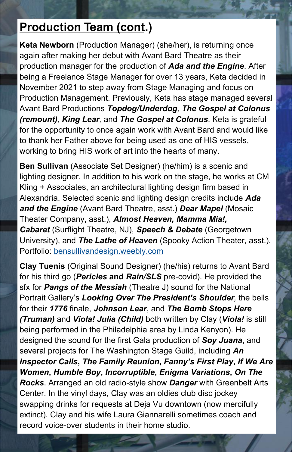## **Production Team (cont.)**

**Keta Newborn** (Production Manager) (she/her), is returning once again after making her debut with Avant Bard Theatre as their production manager for the production of *Ada and the Engine*. After being a Freelance Stage Manager for over 13 years, Keta decided in November 2021 to step away from Stage Managing and focus on Production Management. Previously, Keta has stage managed several Avant Bard Productions *Topdog/Underdog, The Gospel at Colonus (remount), King Lear,* and *The Gospel at Colonus*. Keta is grateful for the opportunity to once again work with Avant Bard and would like to thank her Father above for being used as one of HIS vessels, working to bring HIS work of art into the hearts of many.

**Ben Sullivan** (Associate Set Designer) (he/him) is a scenic and lighting designer. In addition to his work on the stage, he works at CM Kling + Associates, an architectural lighting design firm based in Alexandria. Selected scenic and lighting design credits include *Ada and the Engine* (Avant Bard Theatre, asst.) *Dear Mapel* (Mosaic Theater Company, asst.), *Almost Heaven, Mamma Mia!, Cabaret* (Surflight Theatre, NJ), *Speech & Debate* (Georgetown University), and *The Lathe of Heaven* (Spooky Action Theater, asst.). Portfolio: [bensullivandesign.weebly.com](http://bensullivandesign.weebly.com/)

**Clay Tuenis** (Original Sound Designer) (he/his) returns to Avant Bard for his third go (*Pericles* **and** *Rain/SLS* pre-covid). He provided the sfx for *Pangs of the Messiah* (Theatre J) sound for the National Portrait Gallery's *Looking Over The President's Shoulder,* the bells for their *1776* finale, *Johnson Lear*, and *The Bomb Stops Here (Truman)* and *Viola! Julia (Child)* both written by Clay (*Viola!* is still being performed in the Philadelphia area by Linda Kenyon). He designed the sound for the first Gala production of *Soy Juana*, and several projects for The Washington Stage Guild, including *An Inspector Calls***,** *The Family Reunion***,** *Fanny's First Play***,** *If We Are Women***,** *Humble Boy***,** *Incorruptible***,** *Enigma Variations***,** *On The Rocks*. Arranged an old radio-style show *Danger* with Greenbelt Arts Center. In the vinyl days, Clay was an oldies club disc jockey swapping drinks for requests at Deja Vu downtown (now mercifully extinct). Clay and his wife Laura Giannarelli sometimes coach and record voice-over students in their home studio.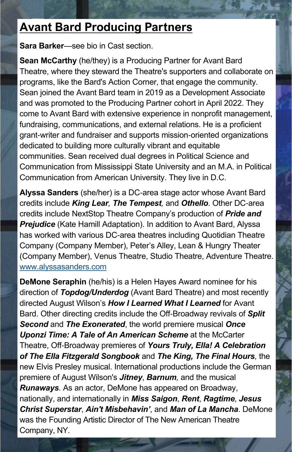## **Avant Bard Producing Partners**

**Sara Barker**—see bio in Cast section.

**Sean McCarthy** (he/they) is a Producing Partner for Avant Bard Theatre, where they steward the Theatre's supporters and collaborate on programs, like the Bard's Action Corner, that engage the community. Sean joined the Avant Bard team in 2019 as a Development Associate and was promoted to the Producing Partner cohort in April 2022. They come to Avant Bard with extensive experience in nonprofit management, fundraising, communications, and external relations. He is a proficient grant-writer and fundraiser and supports mission-oriented organizations dedicated to building more culturally vibrant and equitable communities. Sean received dual degrees in Political Science and Communication from Mississippi State University and an M.A. in Political Communication from American University. They live in D.C.

**Alyssa Sanders** (she/her) is a DC-area stage actor whose Avant Bard credits include *King Lear, The Tempest,* and *Othello*. Other DC-area credits include NextStop Theatre Company's production of *Pride and*  **Prejudice** (Kate Hamill Adaptation). In addition to Avant Bard, Alyssa has worked with various DC-area theatres including Quotidian Theatre Company (Company Member), Peter's Alley, Lean & Hungry Theater (Company Member), Venus Theatre, Studio Theatre, Adventure Theatre. [www.alyssasanders.com](http://www.alyssasanders.com)

**DeMone Seraphin** (he/his) is a Helen Hayes Award nominee for his direction of *Topdog/Underdog* (Avant Bard Theatre) and most recently directed August Wilson's *How I Learned What I Learned* for Avant Bard. Other directing credits include the Off-Broadway revivals of *Split Second* and *The Exonerated*, the world premiere musical *Once Uponzi Time: A Tale of An American Scheme* at the McCarter Theatre, Off-Broadway premieres of *Yours Truly, Ella! A Celebration of The Ella Fitzgerald Songbook* and *The King, The Final Hours,* the new Elvis Presley musical. International productions include the German premiere of August Wilson's *Jitney*, *Barnum,* and the musical *Runaways*. As an actor, DeMone has appeared on Broadway, nationally, and internationally in *Miss Saigon*, *Rent*, *Ragtime*, *Jesus Christ Superstar*, *Ain't Misbehavin'*, and *Man of La Mancha*. DeMone was the Founding Artistic Director of The New American Theatre Company, NY.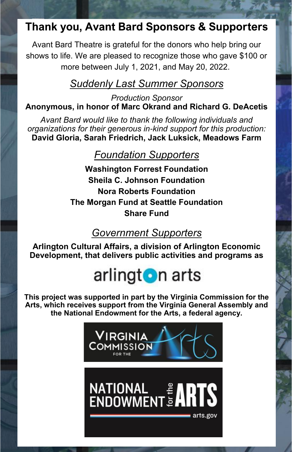### **Thank you, Avant Bard Sponsors & Supporters**

Avant Bard Theatre is grateful for the donors who help bring our shows to life. We are pleased to recognize those who gave \$100 or more between July 1, 2021, and May 20, 2022.

#### *Suddenly Last Summer Sponsors*

*Production Sponsor* **Anonymous, in honor of Marc Okrand and Richard G. DeAcetis**

*Avant Bard would like to thank the following individuals and organizations for their generous in-kind support for this production:* **David Gloria, Sarah Friedrich, Jack Luksick, Meadows Farm**

#### *Foundation Supporters*

**Washington Forrest Foundation Sheila C. Johnson Foundation Nora Roberts Foundation The Morgan Fund at Seattle Foundation Share Fund**

#### *Government Supporters*

**Arlington Cultural Affairs, a division of Arlington Economic Development, that delivers public activities and programs as** 

## arlingt**o**n arts

**This project was supported in part by the Virginia Commission for the Arts, which receives support from the Virginia General Assembly and the National Endowment for the Arts, a federal agency.**

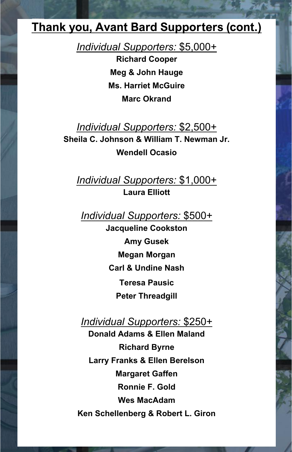#### **Thank you, Avant Bard Supporters (cont.)**

*Individual Supporters:* \$5,000+

**Richard Cooper Meg & John Hauge Ms. Harriet McGuire Marc Okrand**

*Individual Supporters:* \$2,500+ **Sheila C. Johnson & William T. Newman Jr. Wendell Ocasio**

*Individual Supporters:* \$1,000+ **Laura Elliott**

*Individual Supporters:* \$500+

**Jacqueline Cookston Amy Gusek Megan Morgan Carl & Undine Nash Teresa Pausic Peter Threadgill**

*Individual Supporters:* \$250+

**Donald Adams & Ellen Maland Richard Byrne Larry Franks & Ellen Berelson Margaret Gaffen Ronnie F. Gold Wes MacAdam Ken Schellenberg & Robert L. Giron**